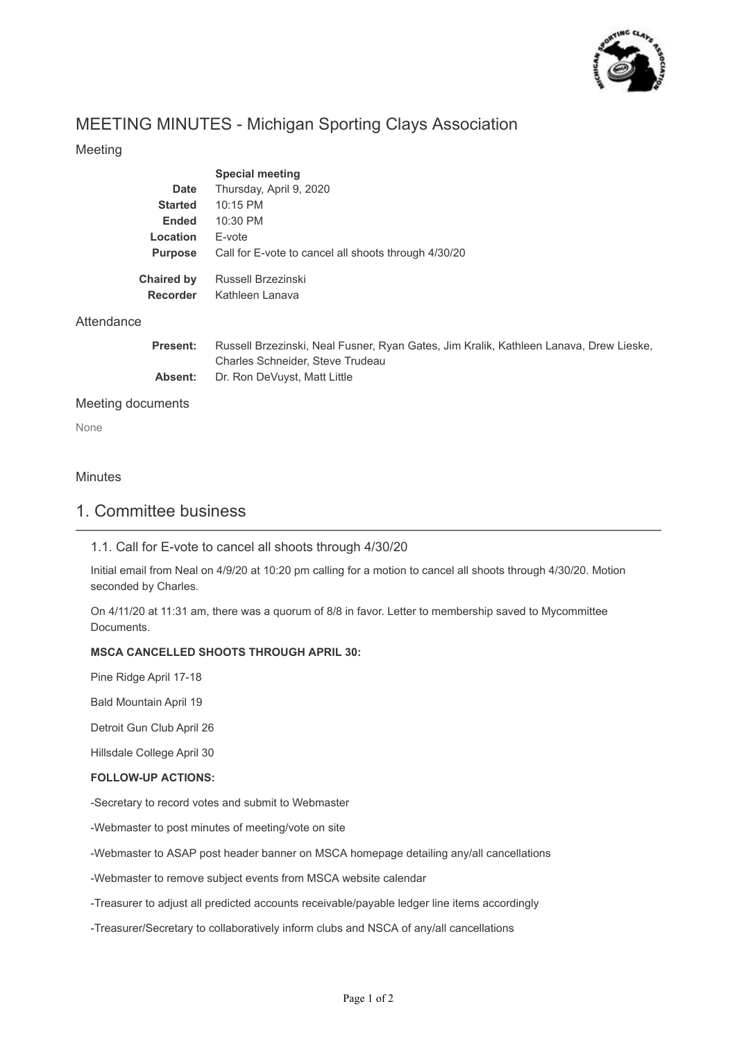

# MEETING MINUTES - Michigan Sporting Clays Association

# Meeting

|                               | <b>Special meeting</b>                               |
|-------------------------------|------------------------------------------------------|
| Date                          | Thursday, April 9, 2020                              |
| <b>Started</b>                | $10:15$ PM                                           |
| Ended                         | $10:30$ PM                                           |
| Location                      | F-vote                                               |
| <b>Purpose</b>                | Call for E-vote to cancel all shoots through 4/30/20 |
| <b>Chaired by</b><br>Recorder | Russell Brzezinski<br>Kathleen Lanava                |

## Attendance

| <b>Present:</b> | Russell Brzezinski, Neal Fusner, Ryan Gates, Jim Kralik, Kathleen Lanava, Drew Lieske, |
|-----------------|----------------------------------------------------------------------------------------|
|                 | Charles Schneider, Steve Trudeau                                                       |
| Absent:         | Dr. Ron DeVuyst, Matt Little                                                           |

#### Meeting documents

None

#### **Minutes**

# 1. Committee business

## 1.1. Call for E-vote to cancel all shoots through 4/30/20

Initial email from Neal on 4/9/20 at 10:20 pm calling for a motion to cancel all shoots through 4/30/20. Motion seconded by Charles.

On 4/11/20 at 11:31 am, there was a quorum of 8/8 in favor. Letter to membership saved to Mycommittee Documents.

#### **MSCA CANCELLED SHOOTS THROUGH APRIL 30:**

Pine Ridge April 17-18

Bald Mountain April 19

Detroit Gun Club April 26

Hillsdale College April 30

#### **FOLLOW-UP ACTIONS:**

-Secretary to record votes and submit to Webmaster

-Webmaster to post minutes of meeting/vote on site

-Webmaster to ASAP post header banner on MSCA homepage detailing any/all cancellations

-Webmaster to remove subject events from MSCA website calendar

-Treasurer to adjust all predicted accounts receivable/payable ledger line items accordingly

-Treasurer/Secretary to collaboratively inform clubs and NSCA of any/all cancellations